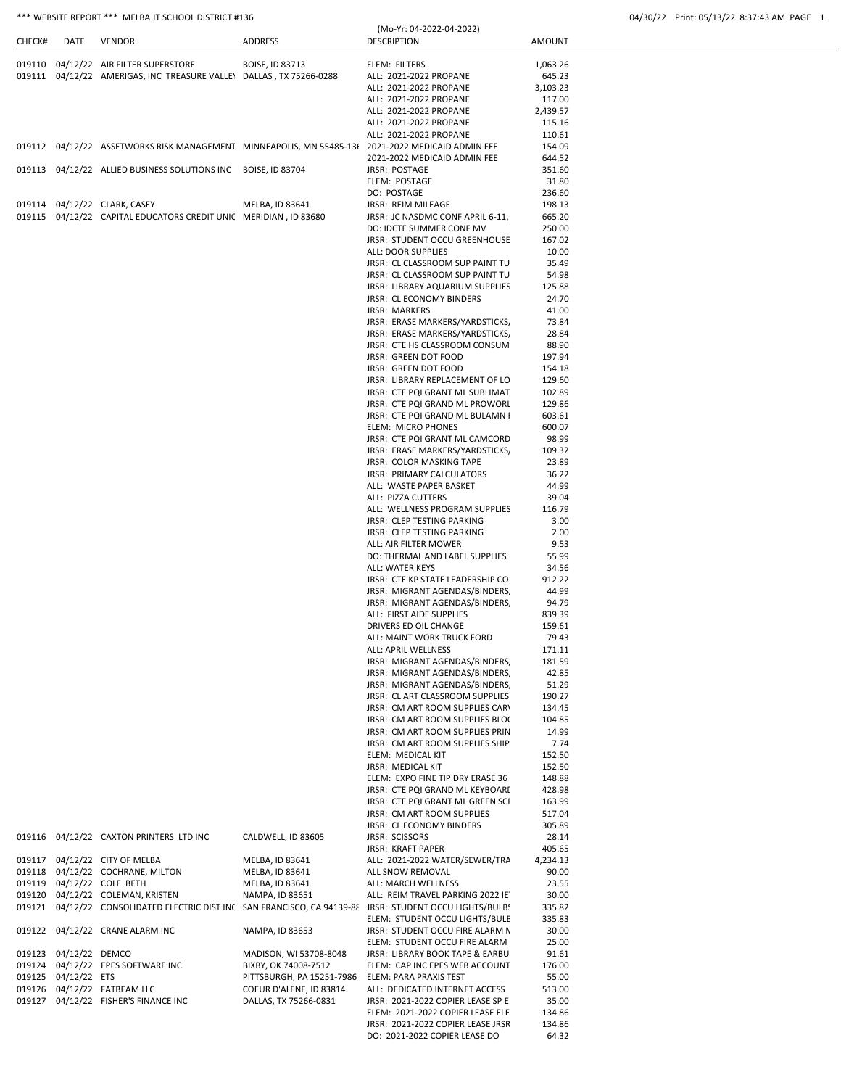| *** WEBSITE REPORT *** MELBA JT SCHOOL DISTRICT #136 | 04/30/22 Print: 05/13/22 8:37:43 AM PAGE |
|------------------------------------------------------|------------------------------------------|
|                                                      |                                          |

| CHECK# | DATE                  | <b>VENDOR</b>                                                                                     | ADDRESS                   | (Mo-Yr: 04-2022-04-2022)<br><b>DESCRIPTION</b>                                                            | <b>AMOUNT</b>    |
|--------|-----------------------|---------------------------------------------------------------------------------------------------|---------------------------|-----------------------------------------------------------------------------------------------------------|------------------|
|        |                       | 019110 04/12/22 AIR FILTER SUPERSTORE                                                             | BOISE, ID 83713           | ELEM: FILTERS                                                                                             | 1,063.26         |
|        |                       | 019111 04/12/22 AMERIGAS, INC TREASURE VALLEY DALLAS, TX 75266-0288                               |                           | ALL: 2021-2022 PROPANE                                                                                    | 645.23           |
|        |                       |                                                                                                   |                           | ALL: 2021-2022 PROPANE                                                                                    | 3,103.23         |
|        |                       |                                                                                                   |                           | ALL: 2021-2022 PROPANE                                                                                    | 117.00           |
|        |                       |                                                                                                   |                           | ALL: 2021-2022 PROPANE                                                                                    | 2,439.57         |
|        |                       |                                                                                                   |                           | ALL: 2021-2022 PROPANE                                                                                    | 115.16           |
|        |                       |                                                                                                   |                           | ALL: 2021-2022 PROPANE                                                                                    | 110.61           |
|        |                       | 019112 04/12/22 ASSETWORKS RISK MANAGEMENT MINNEAPOLIS, MN 55485-13( 2021-2022 MEDICAID ADMIN FEE |                           |                                                                                                           | 154.09           |
|        |                       |                                                                                                   |                           | 2021-2022 MEDICAID ADMIN FEE                                                                              | 644.52           |
|        |                       | 019113 04/12/22 ALLIED BUSINESS SOLUTIONS INC BOISE, ID 83704                                     |                           | <b>JRSR: POSTAGE</b><br>ELEM: POSTAGE                                                                     | 351.60           |
|        |                       |                                                                                                   |                           | DO: POSTAGE                                                                                               | 31.80<br>236.60  |
|        |                       | 019114 04/12/22 CLARK, CASEY                                                                      | MELBA, ID 83641           | JRSR: REIM MILEAGE                                                                                        | 198.13           |
|        |                       | 019115 04/12/22 CAPITAL EDUCATORS CREDIT UNIC MERIDIAN, ID 83680                                  |                           | JRSR: JC NASDMC CONF APRIL 6-11,                                                                          | 665.20           |
|        |                       |                                                                                                   |                           | DO: IDCTE SUMMER CONF MV                                                                                  | 250.00           |
|        |                       |                                                                                                   |                           | JRSR: STUDENT OCCU GREENHOUSE                                                                             | 167.02           |
|        |                       |                                                                                                   |                           | ALL: DOOR SUPPLIES                                                                                        | 10.00            |
|        |                       |                                                                                                   |                           | JRSR: CL CLASSROOM SUP PAINT TU                                                                           | 35.49            |
|        |                       |                                                                                                   |                           | JRSR: CL CLASSROOM SUP PAINT TU<br>JRSR: LIBRARY AQUARIUM SUPPLIES                                        | 54.98<br>125.88  |
|        |                       |                                                                                                   |                           | JRSR: CL ECONOMY BINDERS                                                                                  | 24.70            |
|        |                       |                                                                                                   |                           | <b>JRSR: MARKERS</b>                                                                                      | 41.00            |
|        |                       |                                                                                                   |                           | JRSR: ERASE MARKERS/YARDSTICKS,                                                                           | 73.84            |
|        |                       |                                                                                                   |                           | JRSR: ERASE MARKERS/YARDSTICKS,                                                                           | 28.84            |
|        |                       |                                                                                                   |                           | JRSR: CTE HS CLASSROOM CONSUM                                                                             | 88.90            |
|        |                       |                                                                                                   |                           | JRSR: GREEN DOT FOOD                                                                                      | 197.94           |
|        |                       |                                                                                                   |                           | JRSR: GREEN DOT FOOD                                                                                      | 154.18           |
|        |                       |                                                                                                   |                           | JRSR: LIBRARY REPLACEMENT OF LO                                                                           | 129.60           |
|        |                       |                                                                                                   |                           | JRSR: CTE PQI GRANT ML SUBLIMAT<br>JRSR: CTE PQI GRAND ML PROWORI                                         | 102.89<br>129.86 |
|        |                       |                                                                                                   |                           | JRSR: CTE PQI GRAND ML BULAMN I                                                                           | 603.61           |
|        |                       |                                                                                                   |                           | ELEM: MICRO PHONES                                                                                        | 600.07           |
|        |                       |                                                                                                   |                           | JRSR: CTE PQI GRANT ML CAMCORD                                                                            | 98.99            |
|        |                       |                                                                                                   |                           | JRSR: ERASE MARKERS/YARDSTICKS,                                                                           | 109.32           |
|        |                       |                                                                                                   |                           | JRSR: COLOR MASKING TAPE                                                                                  | 23.89            |
|        |                       |                                                                                                   |                           | JRSR: PRIMARY CALCULATORS                                                                                 | 36.22            |
|        |                       |                                                                                                   |                           | ALL: WASTE PAPER BASKET                                                                                   | 44.99            |
|        |                       |                                                                                                   |                           | ALL: PIZZA CUTTERS                                                                                        | 39.04            |
|        |                       |                                                                                                   |                           | ALL: WELLNESS PROGRAM SUPPLIES<br>JRSR: CLEP TESTING PARKING                                              | 116.79<br>3.00   |
|        |                       |                                                                                                   |                           | JRSR: CLEP TESTING PARKING                                                                                | 2.00             |
|        |                       |                                                                                                   |                           | ALL: AIR FILTER MOWER                                                                                     | 9.53             |
|        |                       |                                                                                                   |                           | DO: THERMAL AND LABEL SUPPLIES                                                                            | 55.99            |
|        |                       |                                                                                                   |                           | ALL: WATER KEYS                                                                                           | 34.56            |
|        |                       |                                                                                                   |                           | JRSR: CTE KP STATE LEADERSHIP CO                                                                          | 912.22           |
|        |                       |                                                                                                   |                           | JRSR: MIGRANT AGENDAS/BINDERS                                                                             | 44.99            |
|        |                       |                                                                                                   |                           | JRSR: MIGRANT AGENDAS/BINDERS                                                                             | 94.79            |
|        |                       |                                                                                                   |                           | ALL: FIRST AIDE SUPPLIES<br>DRIVERS ED OIL CHANGE                                                         | 839.39<br>159.61 |
|        |                       |                                                                                                   |                           | ALL: MAINT WORK TRUCK FORD                                                                                | 79.43            |
|        |                       |                                                                                                   |                           | ALL: APRIL WELLNESS                                                                                       | 171.11           |
|        |                       |                                                                                                   |                           | JRSR: MIGRANT AGENDAS/BINDERS                                                                             | 181.59           |
|        |                       |                                                                                                   |                           | JRSR: MIGRANT AGENDAS/BINDERS                                                                             | 42.85            |
|        |                       |                                                                                                   |                           | JRSR: MIGRANT AGENDAS/BINDERS                                                                             | 51.29            |
|        |                       |                                                                                                   |                           | JRSR: CL ART CLASSROOM SUPPLIES                                                                           | 190.27           |
|        |                       |                                                                                                   |                           | JRSR: CM ART ROOM SUPPLIES CARY                                                                           | 134.45           |
|        |                       |                                                                                                   |                           | JRSR: CM ART ROOM SUPPLIES BLOC                                                                           | 104.85           |
|        |                       |                                                                                                   |                           | JRSR: CM ART ROOM SUPPLIES PRIN<br>JRSR: CM ART ROOM SUPPLIES SHIP                                        | 14.99<br>7.74    |
|        |                       |                                                                                                   |                           | ELEM: MEDICAL KIT                                                                                         | 152.50           |
|        |                       |                                                                                                   |                           | JRSR: MEDICAL KIT                                                                                         | 152.50           |
|        |                       |                                                                                                   |                           | ELEM: EXPO FINE TIP DRY ERASE 36                                                                          | 148.88           |
|        |                       |                                                                                                   |                           | JRSR: CTE PQI GRAND ML KEYBOARI                                                                           | 428.98           |
|        |                       |                                                                                                   |                           | JRSR: CTE PQI GRANT ML GREEN SCI                                                                          | 163.99           |
|        |                       |                                                                                                   |                           | JRSR: CM ART ROOM SUPPLIES                                                                                | 517.04           |
|        |                       | 019116 04/12/22 CAXTON PRINTERS LTD INC                                                           | CALDWELL, ID 83605        | JRSR: CL ECONOMY BINDERS<br>JRSR: SCISSORS                                                                | 305.89           |
|        |                       |                                                                                                   |                           | <b>JRSR: KRAFT PAPER</b>                                                                                  | 28.14<br>405.65  |
|        |                       | 019117 04/12/22 CITY OF MELBA                                                                     | MELBA, ID 83641           | ALL: 2021-2022 WATER/SEWER/TRA                                                                            | 4,234.13         |
|        |                       | 019118 04/12/22 COCHRANE, MILTON                                                                  | MELBA, ID 83641           | ALL SNOW REMOVAL                                                                                          | 90.00            |
|        |                       | 019119 04/12/22 COLE BETH                                                                         | MELBA, ID 83641           | ALL: MARCH WELLNESS                                                                                       | 23.55            |
|        |                       | 019120 04/12/22 COLEMAN, KRISTEN                                                                  | NAMPA, ID 83651           | ALL: REIM TRAVEL PARKING 2022 IE                                                                          | 30.00            |
|        |                       |                                                                                                   |                           | 019121 04/12/22 CONSOLIDATED ELECTRIC DIST INC SAN FRANCISCO, CA 94139-88 JRSR: STUDENT OCCU LIGHTS/BULB! | 335.82           |
|        |                       |                                                                                                   |                           | ELEM: STUDENT OCCU LIGHTS/BULE                                                                            | 335.83           |
|        |                       | 019122 04/12/22 CRANE ALARM INC                                                                   | NAMPA, ID 83653           | JRSR: STUDENT OCCU FIRE ALARM N                                                                           | 30.00            |
|        | 019123 04/12/22 DEMCO |                                                                                                   | MADISON, WI 53708-8048    | ELEM: STUDENT OCCU FIRE ALARM<br>JRSR: LIBRARY BOOK TAPE & EARBU                                          | 25.00<br>91.61   |
|        |                       | 019124 04/12/22 EPES SOFTWARE INC                                                                 | BIXBY, OK 74008-7512      | ELEM: CAP INC EPES WEB ACCOUNT                                                                            | 176.00           |
|        | 019125 04/12/22 ETS   |                                                                                                   | PITTSBURGH, PA 15251-7986 | ELEM: PARA PRAXIS TEST                                                                                    | 55.00            |
|        |                       | 019126 04/12/22 FATBEAM LLC                                                                       | COEUR D'ALENE, ID 83814   | ALL: DEDICATED INTERNET ACCESS                                                                            | 513.00           |
|        |                       | 019127 04/12/22 FISHER'S FINANCE INC                                                              | DALLAS, TX 75266-0831     | JRSR: 2021-2022 COPIER LEASE SP E                                                                         | 35.00            |
|        |                       |                                                                                                   |                           | ELEM: 2021-2022 COPIER LEASE ELE                                                                          | 134.86           |
|        |                       |                                                                                                   |                           | JRSR: 2021-2022 COPIER LEASE JRSR                                                                         | 134.86           |
|        |                       |                                                                                                   |                           | DO: 2021-2022 COPIER LEASE DO                                                                             | 64.32            |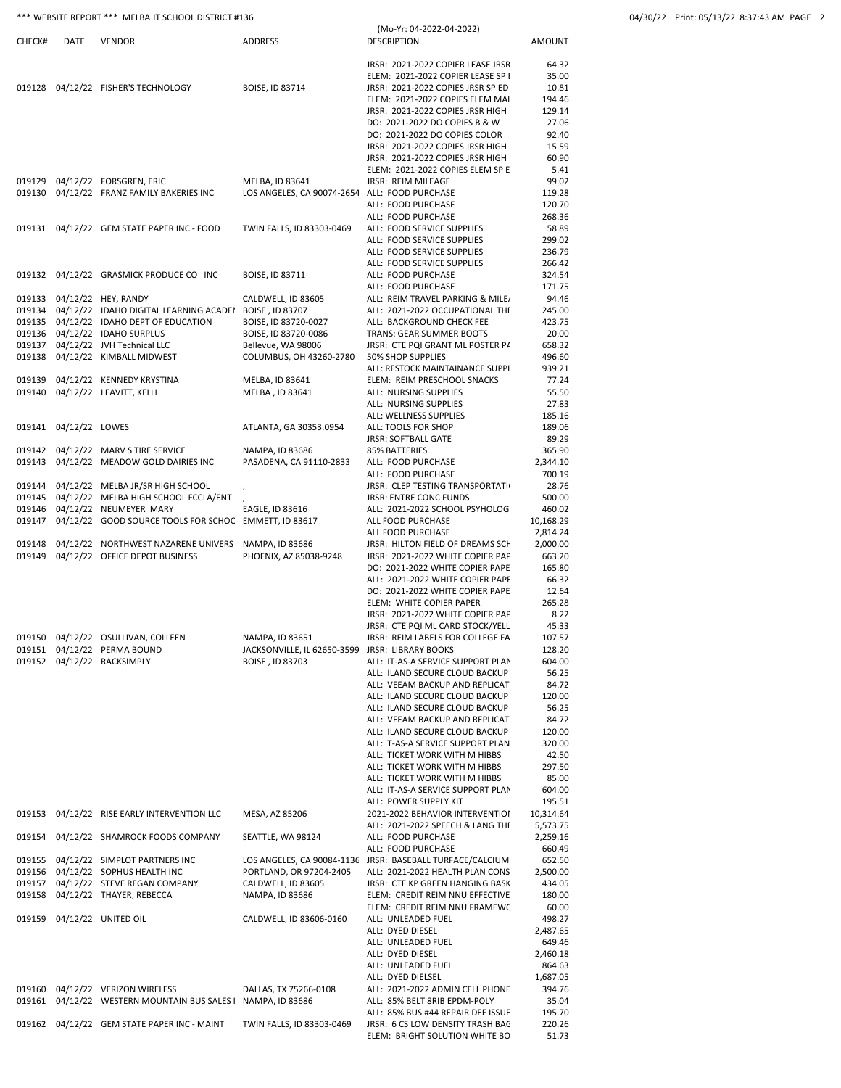| CHECK#           | DATE                  | VENDOR                                                                                 | ADDRESS                                       | <b>DESCRIPTION</b>                                                     | <b>AMOUNT</b>      |
|------------------|-----------------------|----------------------------------------------------------------------------------------|-----------------------------------------------|------------------------------------------------------------------------|--------------------|
|                  |                       |                                                                                        |                                               |                                                                        |                    |
|                  |                       |                                                                                        |                                               | JRSR: 2021-2022 COPIER LEASE JRSR                                      | 64.32              |
|                  |                       | 019128 04/12/22 FISHER'S TECHNOLOGY                                                    | <b>BOISE, ID 83714</b>                        | ELEM: 2021-2022 COPIER LEASE SP I<br>JRSR: 2021-2022 COPIES JRSR SP ED | 35.00<br>10.81     |
|                  |                       |                                                                                        |                                               | ELEM: 2021-2022 COPIES ELEM MAI                                        | 194.46             |
|                  |                       |                                                                                        |                                               | JRSR: 2021-2022 COPIES JRSR HIGH                                       | 129.14             |
|                  |                       |                                                                                        |                                               | DO: 2021-2022 DO COPIES B & W                                          | 27.06              |
|                  |                       |                                                                                        |                                               | DO: 2021-2022 DO COPIES COLOR                                          | 92.40              |
|                  |                       |                                                                                        |                                               | JRSR: 2021-2022 COPIES JRSR HIGH                                       | 15.59              |
|                  |                       |                                                                                        |                                               | JRSR: 2021-2022 COPIES JRSR HIGH                                       | 60.90              |
|                  |                       |                                                                                        |                                               | ELEM: 2021-2022 COPIES ELEM SP E                                       | 5.41               |
|                  |                       | 019129 04/12/22 FORSGREN, ERIC                                                         | MELBA, ID 83641                               | JRSR: REIM MILEAGE                                                     | 99.02              |
| 019130           |                       | 04/12/22 FRANZ FAMILY BAKERIES INC                                                     | LOS ANGELES, CA 90074-2654 ALL: FOOD PURCHASE |                                                                        | 119.28             |
|                  |                       |                                                                                        |                                               | ALL: FOOD PURCHASE                                                     | 120.70             |
|                  |                       | 019131 04/12/22 GEM STATE PAPER INC - FOOD                                             | TWIN FALLS, ID 83303-0469                     | ALL: FOOD PURCHASE<br>ALL: FOOD SERVICE SUPPLIES                       | 268.36<br>58.89    |
|                  |                       |                                                                                        |                                               | ALL: FOOD SERVICE SUPPLIES                                             | 299.02             |
|                  |                       |                                                                                        |                                               | ALL: FOOD SERVICE SUPPLIES                                             | 236.79             |
|                  |                       |                                                                                        |                                               | ALL: FOOD SERVICE SUPPLIES                                             | 266.42             |
|                  |                       | 019132 04/12/22 GRASMICK PRODUCE CO INC                                                | BOISE, ID 83711                               | ALL: FOOD PURCHASE                                                     | 324.54             |
|                  |                       |                                                                                        |                                               | ALL: FOOD PURCHASE                                                     | 171.75             |
|                  |                       | 019133 04/12/22 HEY, RANDY                                                             | CALDWELL, ID 83605                            | ALL: REIM TRAVEL PARKING & MILE.                                       | 94.46              |
| 019134           |                       | 04/12/22 IDAHO DIGITAL LEARNING ACADEI                                                 | BOISE, ID 83707                               | ALL: 2021-2022 OCCUPATIONAL THE                                        | 245.00             |
|                  |                       | 019135 04/12/22 IDAHO DEPT OF EDUCATION                                                | BOISE, ID 83720-0027                          | ALL: BACKGROUND CHECK FEE                                              | 423.75             |
| 019136           |                       | 04/12/22 IDAHO SURPLUS<br>04/12/22 JVH Technical LLC                                   | BOISE, ID 83720-0086                          | TRANS: GEAR SUMMER BOOTS                                               | 20.00              |
| 019137<br>019138 |                       | 04/12/22 KIMBALL MIDWEST                                                               | Bellevue, WA 98006<br>COLUMBUS, OH 43260-2780 | JRSR: CTE PQI GRANT ML POSTER P/<br>50% SHOP SUPPLIES                  | 658.32<br>496.60   |
|                  |                       |                                                                                        |                                               | ALL: RESTOCK MAINTAINANCE SUPPI                                        | 939.21             |
| 019139           |                       | 04/12/22 KENNEDY KRYSTINA                                                              | MELBA, ID 83641                               | ELEM: REIM PRESCHOOL SNACKS                                            | 77.24              |
| 019140           |                       | 04/12/22 LEAVITT, KELLI                                                                | MELBA, ID 83641                               | ALL: NURSING SUPPLIES                                                  | 55.50              |
|                  |                       |                                                                                        |                                               | ALL: NURSING SUPPLIES                                                  | 27.83              |
|                  |                       |                                                                                        |                                               | ALL: WELLNESS SUPPLIES                                                 | 185.16             |
|                  | 019141 04/12/22 LOWES |                                                                                        | ATLANTA, GA 30353.0954                        | ALL: TOOLS FOR SHOP                                                    | 189.06             |
|                  |                       |                                                                                        |                                               | <b>JRSR: SOFTBALL GATE</b>                                             | 89.29              |
|                  |                       | 019142 04/12/22 MARV S TIRE SERVICE                                                    | NAMPA, ID 83686                               | 85% BATTERIES                                                          | 365.90             |
|                  |                       | 019143 04/12/22 MEADOW GOLD DAIRIES INC                                                | PASADENA, CA 91110-2833                       | ALL: FOOD PURCHASE                                                     | 2,344.10           |
|                  |                       |                                                                                        |                                               | ALL: FOOD PURCHASE                                                     | 700.19             |
|                  |                       | 019144 04/12/22 MELBA JR/SR HIGH SCHOOL<br>019145 04/12/22 MELBA HIGH SCHOOL FCCLA/ENT |                                               | JRSR: CLEP TESTING TRANSPORTATI<br><b>JRSR: ENTRE CONC FUNDS</b>       | 28.76              |
| 019146           |                       | 04/12/22 NEUMEYER MARY                                                                 | EAGLE, ID 83616                               | ALL: 2021-2022 SCHOOL PSYHOLOG                                         | 500.00<br>460.02   |
| 019147           |                       | 04/12/22 GOOD SOURCE TOOLS FOR SCHOC EMMETT, ID 83617                                  |                                               | ALL FOOD PURCHASE                                                      | 10,168.29          |
|                  |                       |                                                                                        |                                               | ALL FOOD PURCHASE                                                      | 2,814.24           |
| 019148           |                       | 04/12/22 NORTHWEST NAZARENE UNIVERS                                                    | NAMPA, ID 83686                               | JRSR: HILTON FIELD OF DREAMS SCH                                       | 2,000.00           |
| 019149           |                       | 04/12/22 OFFICE DEPOT BUSINESS                                                         | PHOENIX, AZ 85038-9248                        | JRSR: 2021-2022 WHITE COPIER PAF                                       | 663.20             |
|                  |                       |                                                                                        |                                               | DO: 2021-2022 WHITE COPIER PAPE                                        | 165.80             |
|                  |                       |                                                                                        |                                               | ALL: 2021-2022 WHITE COPIER PAPE                                       | 66.32              |
|                  |                       |                                                                                        |                                               | DO: 2021-2022 WHITE COPIER PAPE                                        | 12.64              |
|                  |                       |                                                                                        |                                               | ELEM: WHITE COPIER PAPER                                               | 265.28             |
|                  |                       |                                                                                        |                                               | JRSR: 2021-2022 WHITE COPIER PAF                                       | 8.22               |
|                  |                       | 04/12/22 OSULLIVAN, COLLEEN                                                            | NAMPA, ID 83651                               | JRSR: CTE PQI ML CARD STOCK/YELL<br>JRSR: REIM LABELS FOR COLLEGE FA   | 45.33              |
| 019150<br>019151 |                       | 04/12/22 PERMA BOUND                                                                   | JACKSONVILLE, IL 62650-3599                   | <b>JRSR: LIBRARY BOOKS</b>                                             | 107.57<br>128.20   |
|                  |                       | 019152 04/12/22 RACKSIMPLY                                                             | BOISE, ID 83703                               | ALL: IT-AS-A SERVICE SUPPORT PLAN                                      | 604.00             |
|                  |                       |                                                                                        |                                               | ALL: ILAND SECURE CLOUD BACKUP                                         | 56.25              |
|                  |                       |                                                                                        |                                               | ALL: VEEAM BACKUP AND REPLICAT                                         | 84.72              |
|                  |                       |                                                                                        |                                               | ALL: ILAND SECURE CLOUD BACKUP                                         | 120.00             |
|                  |                       |                                                                                        |                                               | ALL: ILAND SECURE CLOUD BACKUP                                         | 56.25              |
|                  |                       |                                                                                        |                                               | ALL: VEEAM BACKUP AND REPLICAT                                         | 84.72              |
|                  |                       |                                                                                        |                                               | ALL: ILAND SECURE CLOUD BACKUP                                         | 120.00             |
|                  |                       |                                                                                        |                                               | ALL: T-AS-A SERVICE SUPPORT PLAN                                       | 320.00             |
|                  |                       |                                                                                        |                                               | ALL: TICKET WORK WITH M HIBBS                                          | 42.50              |
|                  |                       |                                                                                        |                                               | ALL: TICKET WORK WITH M HIBBS                                          | 297.50             |
|                  |                       |                                                                                        |                                               | ALL: TICKET WORK WITH M HIBBS<br>ALL: IT-AS-A SERVICE SUPPORT PLAN     | 85.00<br>604.00    |
|                  |                       |                                                                                        |                                               | ALL: POWER SUPPLY KIT                                                  | 195.51             |
|                  |                       | 019153 04/12/22 RISE EARLY INTERVENTION LLC                                            | MESA, AZ 85206                                | 2021-2022 BEHAVIOR INTERVENTIOI                                        | 10,314.64          |
|                  |                       |                                                                                        |                                               | ALL: 2021-2022 SPEECH & LANG THI                                       | 5,573.75           |
|                  |                       | 019154 04/12/22 SHAMROCK FOODS COMPANY                                                 | SEATTLE, WA 98124                             | ALL: FOOD PURCHASE                                                     | 2,259.16           |
|                  |                       |                                                                                        |                                               | ALL: FOOD PURCHASE                                                     | 660.49             |
|                  |                       | 019155 04/12/22 SIMPLOT PARTNERS INC                                                   |                                               | LOS ANGELES, CA 90084-1136 JRSR: BASEBALL TURFACE/CALCIUM              | 652.50             |
|                  |                       | 019156 04/12/22 SOPHUS HEALTH INC                                                      | PORTLAND, OR 97204-2405                       | ALL: 2021-2022 HEALTH PLAN CONS                                        | 2,500.00           |
| 019157           |                       | 04/12/22 STEVE REGAN COMPANY                                                           | CALDWELL, ID 83605                            | JRSR: CTE KP GREEN HANGING BASK                                        | 434.05             |
| 019158           |                       | 04/12/22 THAYER, REBECCA                                                               | NAMPA, ID 83686                               | ELEM: CREDIT REIM NNU EFFECTIVE                                        | 180.00             |
|                  |                       |                                                                                        |                                               | ELEM: CREDIT REIM NNU FRAMEW(                                          | 60.00              |
|                  |                       | 019159 04/12/22 UNITED OIL                                                             | CALDWELL, ID 83606-0160                       | ALL: UNLEADED FUEL                                                     | 498.27             |
|                  |                       |                                                                                        |                                               | ALL: DYED DIESEL                                                       | 2,487.65<br>649.46 |
|                  |                       |                                                                                        |                                               | ALL: UNLEADED FUEL<br>ALL: DYED DIESEL                                 | 2,460.18           |
|                  |                       |                                                                                        |                                               | ALL: UNLEADED FUEL                                                     | 864.63             |
|                  |                       |                                                                                        |                                               | ALL: DYED DIELSEL                                                      | 1,687.05           |
|                  |                       | 019160 04/12/22 VERIZON WIRELESS                                                       | DALLAS, TX 75266-0108                         | ALL: 2021-2022 ADMIN CELL PHONE                                        | 394.76             |
|                  |                       | 019161 04/12/22 WESTERN MOUNTAIN BUS SALES I NAMPA, ID 83686                           |                                               | ALL: 85% BELT 8RIB EPDM-POLY                                           | 35.04              |
|                  |                       |                                                                                        |                                               | ALL: 85% BUS #44 REPAIR DEF ISSUE                                      | 195.70             |
|                  |                       | 019162 04/12/22 GEM STATE PAPER INC - MAINT                                            | TWIN FALLS, ID 83303-0469                     | JRSR: 6 CS LOW DENSITY TRASH BAC                                       | 220.26             |
|                  |                       |                                                                                        |                                               | ELEM: BRIGHT SOLUTION WHITE BC                                         | 51.73              |

(Mo-Yr: 04-2022-04-2022)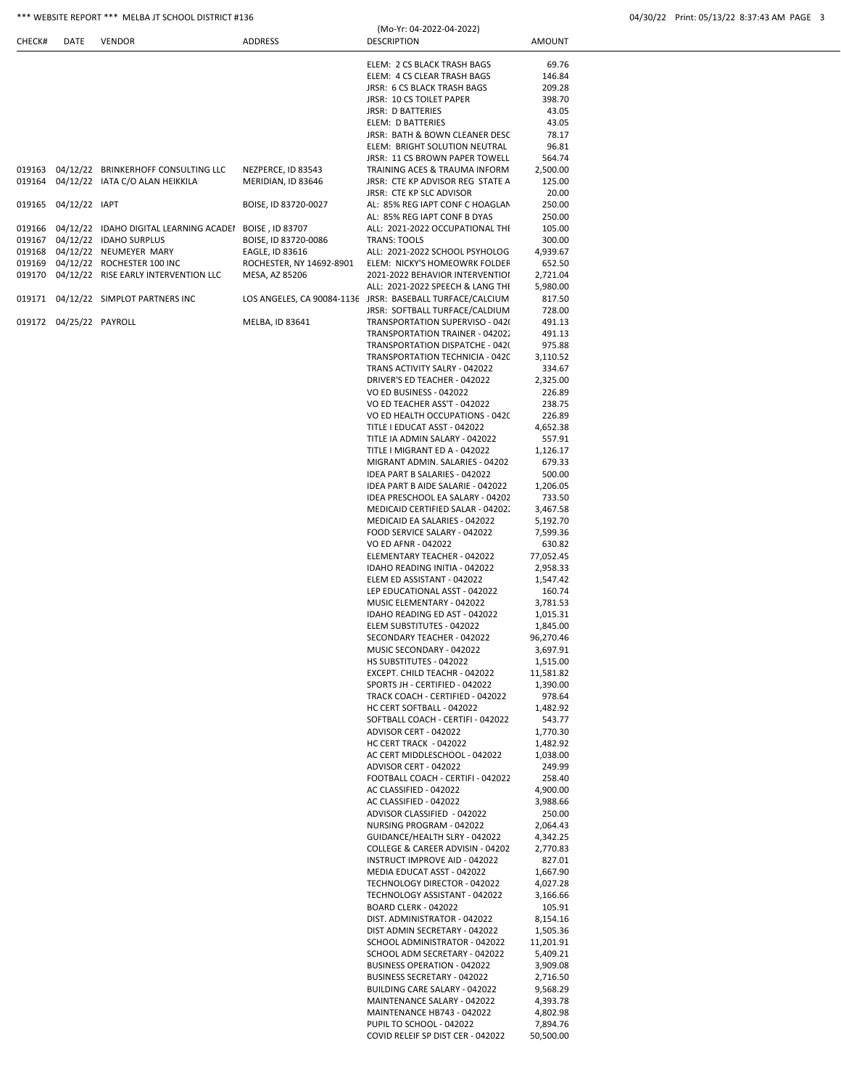# \*\*\* WEBSITE REPORT \*\*\* MELBA JT SCHOOL DISTRICT #136 (Mo-Yr: 04-2022-04-2022) 04/30/22 Print: 05/13/22 8:37:43 AM PAGE 3

|  | 04/30/22 Print: 05/13/22 8:37:43 AM PAGE 3 |  |
|--|--------------------------------------------|--|
|  |                                            |  |

| CHECK# | DATE                    | <b>VENDOR</b>                                   | <b>ADDRESS</b>                             | (Mo-Yr: 04-2022-04-2022)<br><b>DESCRIPTION</b>                      |                      |  |
|--------|-------------------------|-------------------------------------------------|--------------------------------------------|---------------------------------------------------------------------|----------------------|--|
|        |                         |                                                 |                                            |                                                                     | <b>AMOUNT</b>        |  |
|        |                         |                                                 |                                            | ELEM: 2 CS BLACK TRASH BAGS                                         | 69.76                |  |
|        |                         |                                                 |                                            | ELEM: 4 CS CLEAR TRASH BAGS                                         | 146.84               |  |
|        |                         |                                                 |                                            | JRSR: 6 CS BLACK TRASH BAGS                                         | 209.28               |  |
|        |                         |                                                 |                                            | <b>JRSR: 10 CS TOILET PAPER</b>                                     | 398.70               |  |
|        |                         |                                                 |                                            | JRSR: D BATTERIES                                                   | 43.05                |  |
|        |                         |                                                 |                                            | ELEM: D BATTERIES                                                   | 43.05                |  |
|        |                         |                                                 |                                            | JRSR: BATH & BOWN CLEANER DESC                                      | 78.17                |  |
|        |                         |                                                 |                                            | ELEM: BRIGHT SOLUTION NEUTRAL                                       | 96.81                |  |
| 019163 |                         | 04/12/22 BRINKERHOFF CONSULTING LLC             | NEZPERCE, ID 83543                         | JRSR: 11 CS BROWN PAPER TOWELL<br>TRAINING ACES & TRAUMA INFORM     | 564.74<br>2,500.00   |  |
| 019164 |                         | 04/12/22 IATA C/O ALAN HEIKKILA                 | MERIDIAN, ID 83646                         | JRSR: CTE KP ADVISOR REG STATE A                                    | 125.00               |  |
|        |                         |                                                 |                                            | JRSR: CTE KP SLC ADVISOR                                            | 20.00                |  |
|        |                         |                                                 | BOISE, ID 83720-0027                       | AL: 85% REG IAPT CONF C HOAGLAN                                     | 250.00               |  |
|        |                         |                                                 |                                            | AL: 85% REG IAPT CONF B DYAS                                        | 250.00               |  |
|        |                         | 019166  04/12/22  IDAHO DIGITAL LEARNING ACADEI | BOISE, ID 83707                            | ALL: 2021-2022 OCCUPATIONAL THI                                     | 105.00               |  |
| 019167 |                         | 04/12/22 IDAHO SURPLUS                          | BOISE, ID 83720-0086                       | TRANS: TOOLS                                                        | 300.00               |  |
|        |                         | 019168 04/12/22 NEUMEYER MARY                   | EAGLE, ID 83616                            | ALL: 2021-2022 SCHOOL PSYHOLOG                                      | 4,939.67             |  |
| 019169 |                         | 04/12/22 ROCHESTER 100 INC                      | ROCHESTER, NY 14692-8901<br>MESA, AZ 85206 | ELEM: NICKY'S HOMEOWRK FOLDEF<br>2021-2022 BEHAVIOR INTERVENTIOI    | 652.50<br>2,721.04   |  |
|        |                         |                                                 |                                            | ALL: 2021-2022 SPEECH & LANG THI                                    | 5,980.00             |  |
|        |                         | 019171  04/12/22  SIMPLOT PARTNERS INC          |                                            | LOS ANGELES, CA 90084-1136 JRSR: BASEBALL TURFACE/CALCIUM           | 817.50               |  |
|        |                         |                                                 |                                            | JRSR: SOFTBALL TURFACE/CALDIUM                                      | 728.00               |  |
|        | 019172 04/25/22 PAYROLL |                                                 | MELBA, ID 83641                            | TRANSPORTATION SUPERVISO - 0420                                     | 491.13               |  |
|        |                         |                                                 |                                            | TRANSPORTATION TRAINER - 04202.                                     | 491.13               |  |
|        |                         |                                                 |                                            | TRANSPORTATION DISPATCHE - 0420                                     | 975.88               |  |
|        |                         |                                                 |                                            | TRANSPORTATION TECHNICIA - 0420                                     | 3,110.52             |  |
|        |                         |                                                 |                                            | TRANS ACTIVITY SALRY - 042022                                       | 334.67               |  |
|        |                         |                                                 |                                            | DRIVER'S ED TEACHER - 042022                                        | 2,325.00             |  |
|        |                         |                                                 |                                            | VO ED BUSINESS - 042022<br>VO ED TEACHER ASS'T - 042022             | 226.89<br>238.75     |  |
|        |                         |                                                 |                                            | VO ED HEALTH OCCUPATIONS - 0420                                     | 226.89               |  |
|        |                         |                                                 |                                            | TITLE I EDUCAT ASST - 042022                                        | 4,652.38             |  |
|        |                         |                                                 |                                            | TITLE IA ADMIN SALARY - 042022                                      | 557.91               |  |
|        |                         |                                                 |                                            | TITLE I MIGRANT ED A - 042022                                       | 1,126.17             |  |
|        |                         |                                                 |                                            | MIGRANT ADMIN. SALARIES - 04202                                     | 679.33               |  |
|        |                         |                                                 |                                            | IDEA PART B SALARIES - 042022                                       | 500.00               |  |
|        |                         |                                                 |                                            | IDEA PART B AIDE SALARIE - 042022                                   | 1,206.05             |  |
|        |                         |                                                 |                                            | IDEA PRESCHOOL EA SALARY - 04202                                    | 733.50               |  |
|        |                         |                                                 |                                            | MEDICAID CERTIFIED SALAR - 04202.<br>MEDICAID EA SALARIES - 042022  | 3,467.58<br>5,192.70 |  |
|        |                         |                                                 |                                            | FOOD SERVICE SALARY - 042022                                        | 7,599.36             |  |
|        |                         |                                                 |                                            | VO ED AFNR - 042022                                                 | 630.82               |  |
|        |                         |                                                 |                                            | ELEMENTARY TEACHER - 042022                                         | 77,052.45            |  |
|        |                         |                                                 |                                            | IDAHO READING INITIA - 042022                                       | 2,958.33             |  |
|        |                         |                                                 |                                            | ELEM ED ASSISTANT - 042022                                          | 1,547.42             |  |
|        |                         |                                                 |                                            | LEP EDUCATIONAL ASST - 042022                                       | 160.74               |  |
|        |                         |                                                 |                                            | MUSIC ELEMENTARY - 042022<br>IDAHO READING ED AST - 042022          | 3,781.53             |  |
|        |                         |                                                 |                                            | ELEM SUBSTITUTES - 042022                                           | 1,015.31<br>1,845.00 |  |
|        |                         |                                                 |                                            | SECONDARY TEACHER - 042022                                          | 96,270.46            |  |
|        |                         |                                                 |                                            | MUSIC SECONDARY - 042022                                            | 3,697.91             |  |
|        |                         |                                                 |                                            | HS SUBSTITUTES - 042022                                             | 1,515.00             |  |
|        |                         |                                                 |                                            | EXCEPT. CHILD TEACHR - 042022                                       | 11,581.82            |  |
|        |                         |                                                 |                                            | SPORTS JH - CERTIFIED - 042022                                      | 1,390.00             |  |
|        |                         |                                                 |                                            | TRACK COACH - CERTIFIED - 042022                                    | 978.64               |  |
|        |                         |                                                 |                                            | HC CERT SOFTBALL - 042022                                           | 1,482.92             |  |
|        |                         |                                                 |                                            | SOFTBALL COACH - CERTIFI - 042022                                   | 543.77<br>1,770.30   |  |
|        |                         |                                                 |                                            | ADVISOR CERT - 042022<br>HC CERT TRACK - 042022                     | 1,482.92             |  |
|        |                         |                                                 |                                            | AC CERT MIDDLESCHOOL - 042022                                       | 1,038.00             |  |
|        |                         |                                                 |                                            | ADVISOR CERT - 042022                                               | 249.99               |  |
|        |                         |                                                 |                                            | FOOTBALL COACH - CERTIFI - 042022                                   | 258.40               |  |
|        |                         |                                                 |                                            | AC CLASSIFIED - 042022                                              | 4,900.00             |  |
|        |                         |                                                 |                                            | AC CLASSIFIED - 042022                                              | 3,988.66             |  |
|        |                         |                                                 |                                            | ADVISOR CLASSIFIED - 042022                                         | 250.00               |  |
|        |                         |                                                 |                                            | NURSING PROGRAM - 042022                                            | 2,064.43             |  |
|        |                         |                                                 |                                            | GUIDANCE/HEALTH SLRY - 042022<br>COLLEGE & CAREER ADVISIN - 04202   | 4,342.25<br>2,770.83 |  |
|        |                         |                                                 |                                            | INSTRUCT IMPROVE AID - 042022                                       | 827.01               |  |
|        |                         |                                                 |                                            | MEDIA EDUCAT ASST - 042022                                          | 1,667.90             |  |
|        |                         |                                                 |                                            | TECHNOLOGY DIRECTOR - 042022                                        | 4,027.28             |  |
|        |                         |                                                 |                                            | TECHNOLOGY ASSISTANT - 042022                                       | 3,166.66             |  |
|        |                         |                                                 |                                            | BOARD CLERK - 042022                                                | 105.91               |  |
|        |                         |                                                 |                                            | DIST. ADMINISTRATOR - 042022                                        | 8,154.16             |  |
|        |                         |                                                 |                                            | DIST ADMIN SECRETARY - 042022                                       | 1,505.36             |  |
|        |                         |                                                 |                                            | SCHOOL ADMINISTRATOR - 042022                                       | 11,201.91            |  |
|        |                         |                                                 |                                            | SCHOOL ADM SECRETARY - 042022<br><b>BUSINESS OPERATION - 042022</b> | 5,409.21             |  |
|        |                         |                                                 |                                            | BUSINESS SECRETARY - 042022                                         | 3,909.08<br>2,716.50 |  |
|        |                         |                                                 |                                            | BUILDING CARE SALARY - 042022                                       | 9,568.29             |  |
|        |                         |                                                 |                                            | MAINTENANCE SALARY - 042022                                         | 4,393.78             |  |
|        |                         |                                                 |                                            | MAINTENANCE HB743 - 042022                                          | 4,802.98             |  |
|        |                         |                                                 |                                            | PUPIL TO SCHOOL - 042022                                            | 7,894.76             |  |
|        |                         |                                                 |                                            | COVID RELEIF SP DIST CER - 042022                                   | 50,500.00            |  |
|        |                         |                                                 |                                            |                                                                     |                      |  |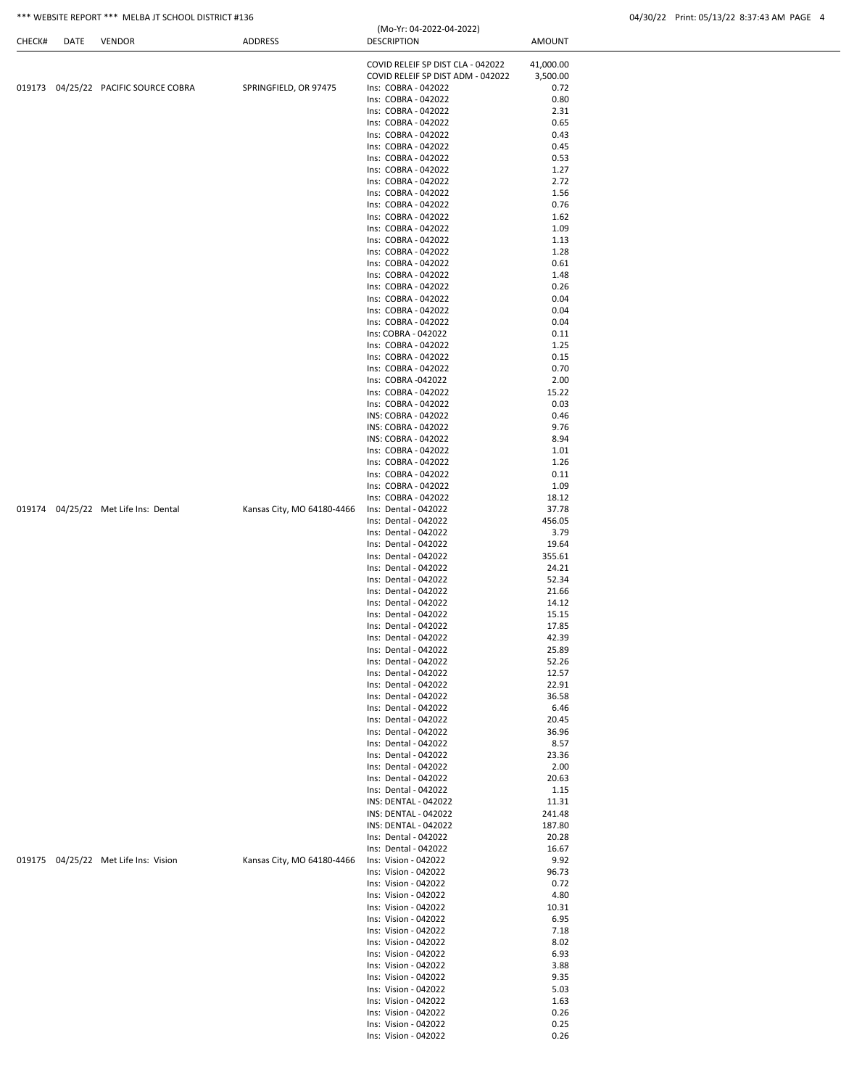|                                      |                            | COVID RELEIF SP DIST CLA - 042022            | 41,000.00       |  |
|--------------------------------------|----------------------------|----------------------------------------------|-----------------|--|
|                                      |                            | COVID RELEIF SP DIST ADM - 042022            | 3,500.00        |  |
| 019173 04/25/22 PACIFIC SOURCE COBRA | SPRINGFIELD, OR 97475      | Ins: COBRA - 042022                          | 0.72            |  |
|                                      |                            | Ins: COBRA - 042022                          | 0.80            |  |
|                                      |                            | Ins: COBRA - 042022                          | 2.31            |  |
|                                      |                            | Ins: COBRA - 042022<br>Ins: COBRA - 042022   | 0.65<br>0.43    |  |
|                                      |                            | Ins: COBRA - 042022                          | 0.45            |  |
|                                      |                            | Ins: COBRA - 042022                          | 0.53            |  |
|                                      |                            | Ins: COBRA - 042022                          | 1.27            |  |
|                                      |                            | Ins: COBRA - 042022                          | 2.72            |  |
|                                      |                            | Ins: COBRA - 042022                          | 1.56            |  |
|                                      |                            | Ins: COBRA - 042022                          | 0.76            |  |
|                                      |                            | Ins: COBRA - 042022                          | 1.62            |  |
|                                      |                            | Ins: COBRA - 042022                          | 1.09            |  |
|                                      |                            | Ins: COBRA - 042022                          | 1.13            |  |
|                                      |                            | Ins: COBRA - 042022                          | 1.28            |  |
|                                      |                            | Ins: COBRA - 042022                          | 0.61            |  |
|                                      |                            | Ins: COBRA - 042022                          | 1.48            |  |
|                                      |                            | Ins: COBRA - 042022                          | 0.26            |  |
|                                      |                            | Ins: COBRA - 042022                          | 0.04            |  |
|                                      |                            | Ins: COBRA - 042022                          | 0.04            |  |
|                                      |                            | Ins: COBRA - 042022                          | 0.04            |  |
|                                      |                            | Ins: COBRA - 042022<br>Ins: COBRA - 042022   | 0.11<br>1.25    |  |
|                                      |                            | Ins: COBRA - 042022                          | 0.15            |  |
|                                      |                            | Ins: COBRA - 042022                          | 0.70            |  |
|                                      |                            | Ins: COBRA -042022                           | 2.00            |  |
|                                      |                            | Ins: COBRA - 042022                          | 15.22           |  |
|                                      |                            | Ins: COBRA - 042022                          | 0.03            |  |
|                                      |                            | INS: COBRA - 042022                          | 0.46            |  |
|                                      |                            | INS: COBRA - 042022                          | 9.76            |  |
|                                      |                            | INS: COBRA - 042022                          | 8.94            |  |
|                                      |                            | Ins: COBRA - 042022                          | 1.01            |  |
|                                      |                            | Ins: COBRA - 042022                          | 1.26            |  |
|                                      |                            | Ins: COBRA - 042022                          | 0.11            |  |
|                                      |                            | Ins: COBRA - 042022                          | 1.09            |  |
|                                      |                            | Ins: COBRA - 042022                          | 18.12           |  |
| 019174 04/25/22 Met Life Ins: Dental | Kansas City, MO 64180-4466 | Ins: Dental - 042022                         | 37.78           |  |
|                                      |                            | Ins: Dental - 042022                         | 456.05          |  |
|                                      |                            | Ins: Dental - 042022                         | 3.79            |  |
|                                      |                            | Ins: Dental - 042022                         | 19.64           |  |
|                                      |                            | Ins: Dental - 042022                         | 355.61          |  |
|                                      |                            | Ins: Dental - 042022                         | 24.21           |  |
|                                      |                            | Ins: Dental - 042022                         | 52.34           |  |
|                                      |                            | Ins: Dental - 042022                         | 21.66           |  |
|                                      |                            | Ins: Dental - 042022                         | 14.12           |  |
|                                      |                            | Ins: Dental - 042022                         | 15.15           |  |
|                                      |                            | Ins: Dental - 042022                         | 17.85           |  |
|                                      |                            | Ins: Dental - 042022                         | 42.39           |  |
|                                      |                            | Ins: Dental - 042022                         | 25.89           |  |
|                                      |                            | Ins: Dental - 042022                         | 52.26           |  |
|                                      |                            | Ins: Dental - 042022                         | 12.57           |  |
|                                      |                            | Ins: Dental - 042022                         | 22.91           |  |
|                                      |                            | Ins: Dental - 042022                         | 36.58           |  |
|                                      |                            | Ins: Dental - 042022                         | 6.46            |  |
|                                      |                            | Ins: Dental - 042022                         | 20.45           |  |
|                                      |                            | Ins: Dental - 042022                         | 36.96           |  |
|                                      |                            | Ins: Dental - 042022                         | 8.57            |  |
|                                      |                            | Ins: Dental - 042022                         | 23.36           |  |
|                                      |                            | Ins: Dental - 042022                         | 2.00            |  |
|                                      |                            | Ins: Dental - 042022                         | 20.63           |  |
|                                      |                            | Ins: Dental - 042022                         | 1.15            |  |
|                                      |                            | INS: DENTAL - 042022                         | 11.31           |  |
|                                      |                            | INS: DENTAL - 042022                         | 241.48          |  |
|                                      |                            | INS: DENTAL - 042022<br>Ins: Dental - 042022 | 187.80<br>20.28 |  |
|                                      |                            | Ins: Dental - 042022                         | 16.67           |  |
| 019175 04/25/22 Met Life Ins: Vision | Kansas City, MO 64180-4466 | Ins: Vision - 042022                         | 9.92            |  |
|                                      |                            | Ins: Vision - 042022                         | 96.73           |  |
|                                      |                            | Ins: Vision - 042022                         | 0.72            |  |
|                                      |                            | Ins: Vision - 042022                         | 4.80            |  |
|                                      |                            | Ins: Vision - 042022                         | 10.31           |  |
|                                      |                            | Ins: Vision - 042022                         | 6.95            |  |
|                                      |                            | Ins: Vision - 042022                         | 7.18            |  |
|                                      |                            | Ins: Vision - 042022                         | 8.02            |  |
|                                      |                            | Ins: Vision - 042022                         | 6.93            |  |
|                                      |                            | Ins: Vision - 042022                         | 3.88            |  |
|                                      |                            | Ins: Vision - 042022                         | 9.35            |  |
|                                      |                            | Ins: Vision - 042022                         | 5.03            |  |
|                                      |                            | Ins: Vision - 042022                         | 1.63            |  |
|                                      |                            | Ins: Vision - 042022                         | 0.26            |  |
|                                      |                            | Ins: Vision - 042022                         | 0.25            |  |
|                                      |                            | Ins: Vision - 042022                         | 0.26            |  |
|                                      |                            |                                              |                 |  |

(Mo-Yr: 04-2022-04-2022)

CHECK# DATE VENDOR ADDRESS DESCRIPTION AMOUNT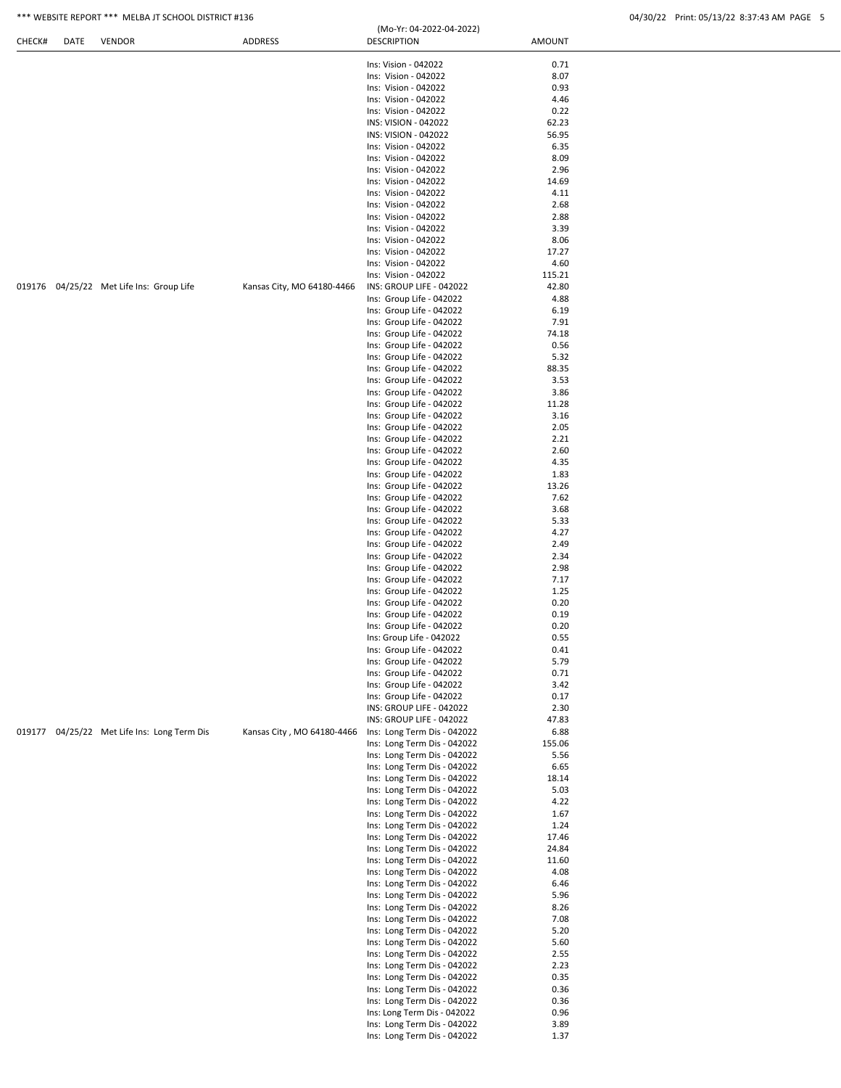| CHECK# | DATE | <b>VENDOR</b>                               | ADDRESS                    | <b>DESCRIPTION</b>                                         | <b>AMOUNT</b> |  |
|--------|------|---------------------------------------------|----------------------------|------------------------------------------------------------|---------------|--|
|        |      |                                             |                            | Ins: Vision - 042022                                       | 0.71          |  |
|        |      |                                             |                            | Ins: Vision - 042022                                       | 8.07          |  |
|        |      |                                             |                            | Ins: Vision - 042022                                       | 0.93          |  |
|        |      |                                             |                            | Ins: Vision - 042022                                       | 4.46          |  |
|        |      |                                             |                            | Ins: Vision - 042022                                       | 0.22          |  |
|        |      |                                             |                            | INS: VISION - 042022                                       | 62.23         |  |
|        |      |                                             |                            | INS: VISION - 042022                                       | 56.95         |  |
|        |      |                                             |                            | Ins: Vision - 042022<br>Ins: Vision - 042022               | 6.35<br>8.09  |  |
|        |      |                                             |                            | Ins: Vision - 042022                                       | 2.96          |  |
|        |      |                                             |                            | Ins: Vision - 042022                                       | 14.69         |  |
|        |      |                                             |                            | Ins: Vision - 042022                                       | 4.11          |  |
|        |      |                                             |                            | Ins: Vision - 042022                                       | 2.68          |  |
|        |      |                                             |                            | Ins: Vision - 042022                                       | 2.88          |  |
|        |      |                                             |                            | Ins: Vision - 042022<br>Ins: Vision - 042022               | 3.39<br>8.06  |  |
|        |      |                                             |                            | Ins: Vision - 042022                                       | 17.27         |  |
|        |      |                                             |                            | Ins: Vision - 042022                                       | 4.60          |  |
|        |      |                                             |                            | Ins: Vision - 042022                                       | 115.21        |  |
|        |      | 019176 04/25/22 Met Life Ins: Group Life    | Kansas City, MO 64180-4466 | INS: GROUP LIFE - 042022                                   | 42.80         |  |
|        |      |                                             |                            | Ins: Group Life - 042022                                   | 4.88          |  |
|        |      |                                             |                            | Ins: Group Life - 042022                                   | 6.19          |  |
|        |      |                                             |                            | Ins: Group Life - 042022                                   | 7.91          |  |
|        |      |                                             |                            | Ins: Group Life - 042022<br>Ins: Group Life - 042022       | 74.18<br>0.56 |  |
|        |      |                                             |                            | Ins: Group Life - 042022                                   | 5.32          |  |
|        |      |                                             |                            | Ins: Group Life - 042022                                   | 88.35         |  |
|        |      |                                             |                            | Ins: Group Life - 042022                                   | 3.53          |  |
|        |      |                                             |                            | Ins: Group Life - 042022                                   | 3.86          |  |
|        |      |                                             |                            | Ins: Group Life - 042022                                   | 11.28         |  |
|        |      |                                             |                            | Ins: Group Life - 042022                                   | 3.16          |  |
|        |      |                                             |                            | Ins: Group Life - 042022<br>Ins: Group Life - 042022       | 2.05<br>2.21  |  |
|        |      |                                             |                            | Ins: Group Life - 042022                                   | 2.60          |  |
|        |      |                                             |                            | Ins: Group Life - 042022                                   | 4.35          |  |
|        |      |                                             |                            | Ins: Group Life - 042022                                   | 1.83          |  |
|        |      |                                             |                            | Ins: Group Life - 042022                                   | 13.26         |  |
|        |      |                                             |                            | Ins: Group Life - 042022                                   | 7.62          |  |
|        |      |                                             |                            | Ins: Group Life - 042022                                   | 3.68          |  |
|        |      |                                             |                            | Ins: Group Life - 042022<br>Ins: Group Life - 042022       | 5.33<br>4.27  |  |
|        |      |                                             |                            | Ins: Group Life - 042022                                   | 2.49          |  |
|        |      |                                             |                            | Ins: Group Life - 042022                                   | 2.34          |  |
|        |      |                                             |                            | Ins: Group Life - 042022                                   | 2.98          |  |
|        |      |                                             |                            | Ins: Group Life - 042022                                   | 7.17          |  |
|        |      |                                             |                            | Ins: Group Life - 042022                                   | 1.25          |  |
|        |      |                                             |                            | Ins: Group Life - 042022                                   | 0.20          |  |
|        |      |                                             |                            | Ins: Group Life - 042022<br>Ins: Group Life - 042022       | 0.19<br>0.20  |  |
|        |      |                                             |                            | Ins: Group Life - 042022                                   | 0.55          |  |
|        |      |                                             |                            | Ins: Group Life - 042022                                   | 0.41          |  |
|        |      |                                             |                            | Ins: Group Life - 042022                                   | 5.79          |  |
|        |      |                                             |                            | Ins: Group Life - 042022                                   | 0.71          |  |
|        |      |                                             |                            | Ins: Group Life - 042022                                   | 3.42          |  |
|        |      |                                             |                            | Ins: Group Life - 042022                                   | 0.17          |  |
|        |      |                                             |                            | INS: GROUP LIFE - 042022<br>INS: GROUP LIFE - 042022       | 2.30<br>47.83 |  |
|        |      | 019177 04/25/22 Met Life Ins: Long Term Dis | Kansas City, MO 64180-4466 | Ins: Long Term Dis - 042022                                | 6.88          |  |
|        |      |                                             |                            | Ins: Long Term Dis - 042022                                | 155.06        |  |
|        |      |                                             |                            | Ins: Long Term Dis - 042022                                | 5.56          |  |
|        |      |                                             |                            | Ins: Long Term Dis - 042022                                | 6.65          |  |
|        |      |                                             |                            | Ins: Long Term Dis - 042022                                | 18.14         |  |
|        |      |                                             |                            | Ins: Long Term Dis - 042022                                | 5.03          |  |
|        |      |                                             |                            | Ins: Long Term Dis - 042022<br>Ins: Long Term Dis - 042022 | 4.22<br>1.67  |  |
|        |      |                                             |                            | Ins: Long Term Dis - 042022                                | 1.24          |  |
|        |      |                                             |                            | Ins: Long Term Dis - 042022                                | 17.46         |  |
|        |      |                                             |                            | Ins: Long Term Dis - 042022                                | 24.84         |  |
|        |      |                                             |                            | Ins: Long Term Dis - 042022                                | 11.60         |  |
|        |      |                                             |                            | Ins: Long Term Dis - 042022                                | 4.08          |  |
|        |      |                                             |                            | Ins: Long Term Dis - 042022                                | 6.46          |  |
|        |      |                                             |                            | Ins: Long Term Dis - 042022<br>Ins: Long Term Dis - 042022 | 5.96<br>8.26  |  |
|        |      |                                             |                            | Ins: Long Term Dis - 042022                                | 7.08          |  |
|        |      |                                             |                            | Ins: Long Term Dis - 042022                                | 5.20          |  |
|        |      |                                             |                            | Ins: Long Term Dis - 042022                                | 5.60          |  |
|        |      |                                             |                            | Ins: Long Term Dis - 042022                                | 2.55          |  |
|        |      |                                             |                            | Ins: Long Term Dis - 042022                                | 2.23          |  |
|        |      |                                             |                            | Ins: Long Term Dis - 042022                                | 0.35          |  |
|        |      |                                             |                            | Ins: Long Term Dis - 042022<br>Ins: Long Term Dis - 042022 | 0.36<br>0.36  |  |
|        |      |                                             |                            | Ins: Long Term Dis - 042022                                | 0.96          |  |
|        |      |                                             |                            | Ins: Long Term Dis - 042022                                | 3.89          |  |
|        |      |                                             |                            | Ins: Long Term Dis - 042022                                | 1.37          |  |
|        |      |                                             |                            |                                                            |               |  |

(Mo-Yr: 04-2022-04-2022)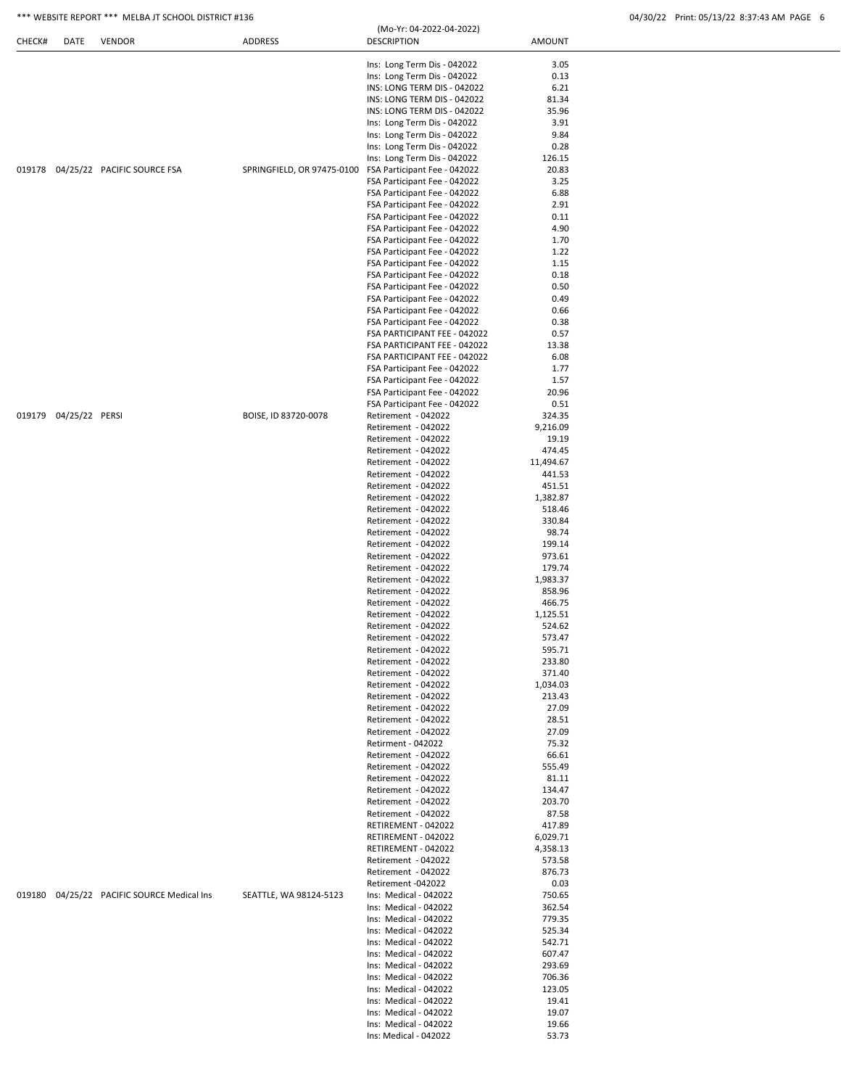|        |                       |                                            |                            | (Mo-Yr: 04-2022-04-2022)                                     |                  |  |
|--------|-----------------------|--------------------------------------------|----------------------------|--------------------------------------------------------------|------------------|--|
| CHECK# | DATE                  | <b>VENDOR</b>                              | <b>ADDRESS</b>             | <b>DESCRIPTION</b>                                           | <b>AMOUNT</b>    |  |
|        |                       |                                            |                            |                                                              |                  |  |
|        |                       |                                            |                            | Ins: Long Term Dis - 042022                                  | 3.05             |  |
|        |                       |                                            |                            | Ins: Long Term Dis - 042022                                  | 0.13             |  |
|        |                       |                                            |                            | INS: LONG TERM DIS - 042022                                  | 6.21             |  |
|        |                       |                                            |                            | INS: LONG TERM DIS - 042022                                  | 81.34            |  |
|        |                       |                                            |                            | INS: LONG TERM DIS - 042022                                  | 35.96            |  |
|        |                       |                                            |                            | Ins: Long Term Dis - 042022                                  | 3.91             |  |
|        |                       |                                            |                            | Ins: Long Term Dis - 042022                                  | 9.84             |  |
|        |                       |                                            |                            | Ins: Long Term Dis - 042022                                  | 0.28             |  |
|        |                       |                                            |                            | Ins: Long Term Dis - 042022                                  | 126.15           |  |
|        |                       | 019178 04/25/22 PACIFIC SOURCE FSA         | SPRINGFIELD, OR 97475-0100 | FSA Participant Fee - 042022                                 | 20.83            |  |
|        |                       |                                            |                            | FSA Participant Fee - 042022                                 | 3.25             |  |
|        |                       |                                            |                            | FSA Participant Fee - 042022                                 | 6.88             |  |
|        |                       |                                            |                            | FSA Participant Fee - 042022                                 | 2.91             |  |
|        |                       |                                            |                            | FSA Participant Fee - 042022                                 | 0.11             |  |
|        |                       |                                            |                            | FSA Participant Fee - 042022                                 | 4.90             |  |
|        |                       |                                            |                            | FSA Participant Fee - 042022                                 | 1.70             |  |
|        |                       |                                            |                            | FSA Participant Fee - 042022                                 | 1.22             |  |
|        |                       |                                            |                            | FSA Participant Fee - 042022                                 | 1.15             |  |
|        |                       |                                            |                            | FSA Participant Fee - 042022                                 | 0.18             |  |
|        |                       |                                            |                            | FSA Participant Fee - 042022                                 | 0.50             |  |
|        |                       |                                            |                            | FSA Participant Fee - 042022                                 | 0.49             |  |
|        |                       |                                            |                            | FSA Participant Fee - 042022                                 | 0.66             |  |
|        |                       |                                            |                            | FSA Participant Fee - 042022                                 | 0.38             |  |
|        |                       |                                            |                            | FSA PARTICIPANT FEE - 042022                                 | 0.57             |  |
|        |                       |                                            |                            | FSA PARTICIPANT FEE - 042022                                 | 13.38            |  |
|        |                       |                                            |                            | FSA PARTICIPANT FEE - 042022                                 | 6.08             |  |
|        |                       |                                            |                            | FSA Participant Fee - 042022                                 | 1.77             |  |
|        |                       |                                            |                            | FSA Participant Fee - 042022                                 | 1.57             |  |
|        |                       |                                            |                            | FSA Participant Fee - 042022<br>FSA Participant Fee - 042022 | 20.96<br>0.51    |  |
|        | 019179 04/25/22 PERSI |                                            | BOISE, ID 83720-0078       | Retirement - 042022                                          | 324.35           |  |
|        |                       |                                            |                            | Retirement - 042022                                          | 9,216.09         |  |
|        |                       |                                            |                            | Retirement - 042022                                          | 19.19            |  |
|        |                       |                                            |                            | Retirement - 042022                                          | 474.45           |  |
|        |                       |                                            |                            | Retirement - 042022                                          | 11,494.67        |  |
|        |                       |                                            |                            | Retirement - 042022                                          | 441.53           |  |
|        |                       |                                            |                            | Retirement - 042022                                          | 451.51           |  |
|        |                       |                                            |                            | Retirement - 042022                                          | 1,382.87         |  |
|        |                       |                                            |                            | Retirement - 042022                                          | 518.46           |  |
|        |                       |                                            |                            | Retirement - 042022                                          | 330.84           |  |
|        |                       |                                            |                            | Retirement - 042022                                          | 98.74            |  |
|        |                       |                                            |                            | Retirement - 042022                                          | 199.14           |  |
|        |                       |                                            |                            | Retirement - 042022                                          | 973.61           |  |
|        |                       |                                            |                            | Retirement - 042022                                          | 179.74           |  |
|        |                       |                                            |                            | Retirement - 042022                                          | 1,983.37         |  |
|        |                       |                                            |                            | Retirement - 042022                                          | 858.96           |  |
|        |                       |                                            |                            | Retirement - 042022                                          | 466.75           |  |
|        |                       |                                            |                            | Retirement - 042022                                          | 1,125.51         |  |
|        |                       |                                            |                            | Retirement - 042022                                          | 524.62           |  |
|        |                       |                                            |                            | Retirement - 042022                                          | 573.47           |  |
|        |                       |                                            |                            | Retirement - 042022                                          | 595.71           |  |
|        |                       |                                            |                            | Retirement - 042022                                          | 233.80           |  |
|        |                       |                                            |                            | Retirement - 042022                                          | 371.40           |  |
|        |                       |                                            |                            | Retirement - 042022                                          | 1,034.03         |  |
|        |                       |                                            |                            | Retirement - 042022                                          | 213.43           |  |
|        |                       |                                            |                            | Retirement - 042022                                          | 27.09            |  |
|        |                       |                                            |                            | Retirement - 042022                                          | 28.51            |  |
|        |                       |                                            |                            | Retirement - 042022                                          | 27.09            |  |
|        |                       |                                            |                            | Retirment - 042022                                           | 75.32            |  |
|        |                       |                                            |                            | Retirement - 042022                                          | 66.61            |  |
|        |                       |                                            |                            | Retirement - 042022                                          | 555.49           |  |
|        |                       |                                            |                            | Retirement - 042022                                          | 81.11            |  |
|        |                       |                                            |                            | Retirement - 042022                                          | 134.47           |  |
|        |                       |                                            |                            | Retirement - 042022                                          | 203.70           |  |
|        |                       |                                            |                            | Retirement - 042022                                          | 87.58            |  |
|        |                       |                                            |                            | RETIREMENT - 042022                                          | 417.89           |  |
|        |                       |                                            |                            | RETIREMENT - 042022                                          | 6,029.71         |  |
|        |                       |                                            |                            | RETIREMENT - 042022                                          | 4,358.13         |  |
|        |                       |                                            |                            | Retirement - 042022                                          | 573.58           |  |
|        |                       |                                            |                            | Retirement - 042022                                          | 876.73           |  |
|        |                       |                                            |                            | Retirement -042022                                           | 0.03             |  |
|        |                       | 019180 04/25/22 PACIFIC SOURCE Medical Ins | SEATTLE, WA 98124-5123     | Ins: Medical - 042022                                        | 750.65           |  |
|        |                       |                                            |                            | Ins: Medical - 042022                                        | 362.54           |  |
|        |                       |                                            |                            | Ins: Medical - 042022                                        | 779.35           |  |
|        |                       |                                            |                            | Ins: Medical - 042022<br>Ins: Medical - 042022               | 525.34<br>542.71 |  |
|        |                       |                                            |                            | Ins: Medical - 042022                                        | 607.47           |  |
|        |                       |                                            |                            | Ins: Medical - 042022                                        | 293.69           |  |
|        |                       |                                            |                            | Ins: Medical - 042022                                        | 706.36           |  |
|        |                       |                                            |                            | Ins: Medical - 042022                                        | 123.05           |  |
|        |                       |                                            |                            | Ins: Medical - 042022                                        | 19.41            |  |
|        |                       |                                            |                            | Ins: Medical - 042022                                        | 19.07            |  |
|        |                       |                                            |                            | Ins: Medical - 042022                                        | 19.66            |  |
|        |                       |                                            |                            | Ins: Medical - 042022                                        | 53.73            |  |
|        |                       |                                            |                            |                                                              |                  |  |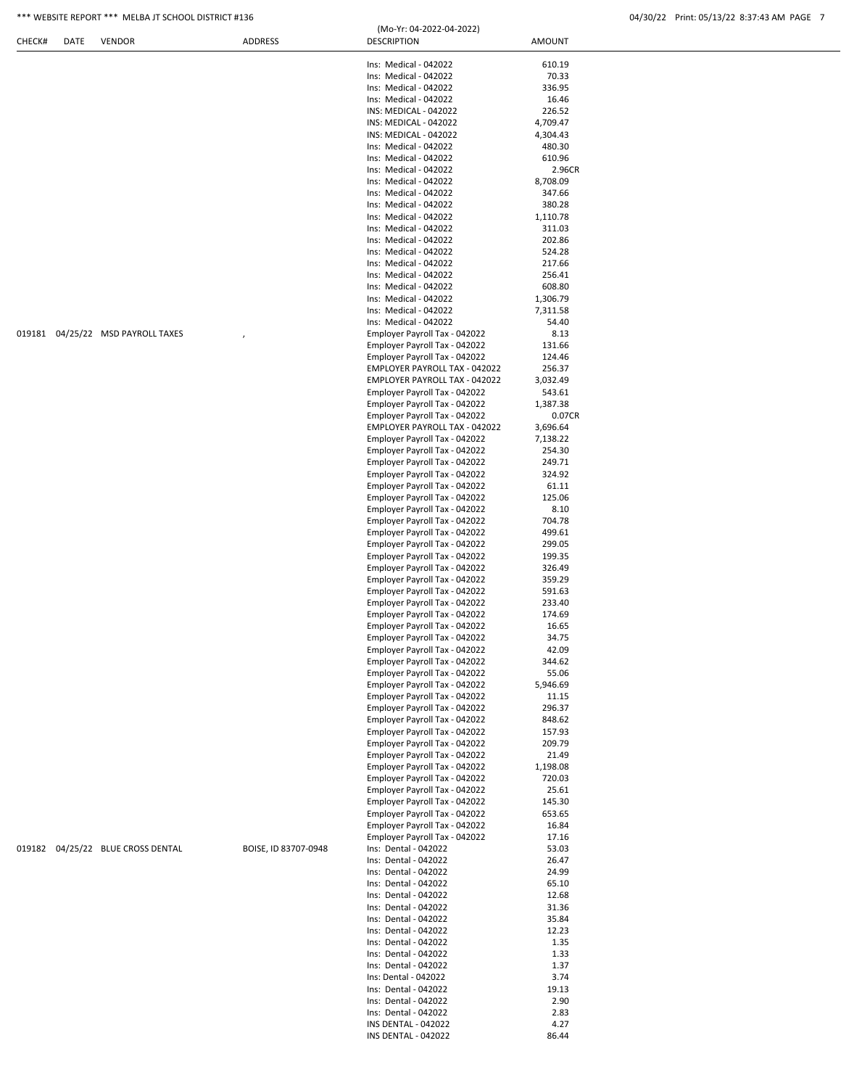| CHECK# | DATE | <b>VENDOR</b>                     | <b>ADDRESS</b>       | <b>DESCRIPTION</b>                                             | <b>AMOUNT</b>      |  |
|--------|------|-----------------------------------|----------------------|----------------------------------------------------------------|--------------------|--|
|        |      |                                   |                      |                                                                |                    |  |
|        |      |                                   |                      | Ins: Medical - 042022                                          | 610.19             |  |
|        |      |                                   |                      | Ins: Medical - 042022                                          | 70.33              |  |
|        |      |                                   |                      | Ins: Medical - 042022                                          | 336.95             |  |
|        |      |                                   |                      | Ins: Medical - 042022                                          | 16.46<br>226.52    |  |
|        |      |                                   |                      | INS: MEDICAL - 042022<br>INS: MEDICAL - 042022                 | 4,709.47           |  |
|        |      |                                   |                      | INS: MEDICAL - 042022                                          | 4,304.43           |  |
|        |      |                                   |                      | Ins: Medical - 042022                                          | 480.30             |  |
|        |      |                                   |                      | Ins: Medical - 042022                                          | 610.96             |  |
|        |      |                                   |                      | Ins: Medical - 042022                                          | 2.96CR             |  |
|        |      |                                   |                      | Ins: Medical - 042022                                          | 8,708.09           |  |
|        |      |                                   |                      | Ins: Medical - 042022                                          | 347.66             |  |
|        |      |                                   |                      | Ins: Medical - 042022                                          | 380.28             |  |
|        |      |                                   |                      | Ins: Medical - 042022                                          | 1,110.78           |  |
|        |      |                                   |                      | Ins: Medical - 042022                                          | 311.03             |  |
|        |      |                                   |                      | Ins: Medical - 042022                                          | 202.86             |  |
|        |      |                                   |                      | Ins: Medical - 042022                                          | 524.28             |  |
|        |      |                                   |                      | Ins: Medical - 042022<br>Ins: Medical - 042022                 | 217.66<br>256.41   |  |
|        |      |                                   |                      | Ins: Medical - 042022                                          | 608.80             |  |
|        |      |                                   |                      | Ins: Medical - 042022                                          | 1,306.79           |  |
|        |      |                                   |                      | Ins: Medical - 042022                                          | 7,311.58           |  |
|        |      |                                   |                      | Ins: Medical - 042022                                          | 54.40              |  |
|        |      | 019181 04/25/22 MSD PAYROLL TAXES |                      | Employer Payroll Tax - 042022                                  | 8.13               |  |
|        |      |                                   |                      | Employer Payroll Tax - 042022                                  | 131.66             |  |
|        |      |                                   |                      | Employer Payroll Tax - 042022                                  | 124.46             |  |
|        |      |                                   |                      | EMPLOYER PAYROLL TAX - 042022                                  | 256.37             |  |
|        |      |                                   |                      | EMPLOYER PAYROLL TAX - 042022                                  | 3,032.49           |  |
|        |      |                                   |                      | Employer Payroll Tax - 042022                                  | 543.61             |  |
|        |      |                                   |                      | Employer Payroll Tax - 042022                                  | 1,387.38           |  |
|        |      |                                   |                      | Employer Payroll Tax - 042022<br>EMPLOYER PAYROLL TAX - 042022 | 0.07CR<br>3,696.64 |  |
|        |      |                                   |                      | Employer Payroll Tax - 042022                                  | 7,138.22           |  |
|        |      |                                   |                      | Employer Payroll Tax - 042022                                  | 254.30             |  |
|        |      |                                   |                      | Employer Payroll Tax - 042022                                  | 249.71             |  |
|        |      |                                   |                      | Employer Payroll Tax - 042022                                  | 324.92             |  |
|        |      |                                   |                      | Employer Payroll Tax - 042022                                  | 61.11              |  |
|        |      |                                   |                      | Employer Payroll Tax - 042022                                  | 125.06             |  |
|        |      |                                   |                      | Employer Payroll Tax - 042022                                  | 8.10               |  |
|        |      |                                   |                      | Employer Payroll Tax - 042022                                  | 704.78             |  |
|        |      |                                   |                      | Employer Payroll Tax - 042022                                  | 499.61             |  |
|        |      |                                   |                      | Employer Payroll Tax - 042022<br>Employer Payroll Tax - 042022 | 299.05<br>199.35   |  |
|        |      |                                   |                      | Employer Payroll Tax - 042022                                  | 326.49             |  |
|        |      |                                   |                      | Employer Payroll Tax - 042022                                  | 359.29             |  |
|        |      |                                   |                      | Employer Payroll Tax - 042022                                  | 591.63             |  |
|        |      |                                   |                      | Employer Payroll Tax - 042022                                  | 233.40             |  |
|        |      |                                   |                      | Employer Payroll Tax - 042022                                  | 174.69             |  |
|        |      |                                   |                      | Employer Payroll Tax - 042022                                  | 16.65              |  |
|        |      |                                   |                      | Employer Payroll Tax - 042022                                  | 34.75              |  |
|        |      |                                   |                      | Employer Payroll Tax - 042022<br>Employer Payroll Tax - 042022 | 42.09<br>344.62    |  |
|        |      |                                   |                      | Employer Payroll Tax - 042022                                  | 55.06              |  |
|        |      |                                   |                      | Employer Payroll Tax - 042022                                  | 5,946.69           |  |
|        |      |                                   |                      | Employer Payroll Tax - 042022                                  | 11.15              |  |
|        |      |                                   |                      | Employer Payroll Tax - 042022                                  | 296.37             |  |
|        |      |                                   |                      | Employer Payroll Tax - 042022                                  | 848.62             |  |
|        |      |                                   |                      | Employer Payroll Tax - 042022                                  | 157.93             |  |
|        |      |                                   |                      | Employer Payroll Tax - 042022                                  | 209.79             |  |
|        |      |                                   |                      | Employer Payroll Tax - 042022                                  | 21.49              |  |
|        |      |                                   |                      | Employer Payroll Tax - 042022                                  | 1,198.08           |  |
|        |      |                                   |                      | Employer Payroll Tax - 042022                                  | 720.03             |  |
|        |      |                                   |                      | Employer Payroll Tax - 042022<br>Employer Payroll Tax - 042022 | 25.61<br>145.30    |  |
|        |      |                                   |                      | Employer Payroll Tax - 042022                                  | 653.65             |  |
|        |      |                                   |                      | Employer Payroll Tax - 042022                                  | 16.84              |  |
|        |      |                                   |                      | Employer Payroll Tax - 042022                                  | 17.16              |  |
|        |      | 019182 04/25/22 BLUE CROSS DENTAL | BOISE, ID 83707-0948 | Ins: Dental - 042022                                           | 53.03              |  |
|        |      |                                   |                      | Ins: Dental - 042022                                           | 26.47              |  |
|        |      |                                   |                      | Ins: Dental - 042022                                           | 24.99              |  |
|        |      |                                   |                      | Ins: Dental - 042022<br>Ins: Dental - 042022                   | 65.10              |  |
|        |      |                                   |                      | Ins: Dental - 042022                                           | 12.68<br>31.36     |  |
|        |      |                                   |                      | Ins: Dental - 042022                                           | 35.84              |  |
|        |      |                                   |                      | Ins: Dental - 042022                                           | 12.23              |  |
|        |      |                                   |                      | Ins: Dental - 042022                                           | 1.35               |  |
|        |      |                                   |                      | Ins: Dental - 042022                                           | 1.33               |  |
|        |      |                                   |                      | Ins: Dental - 042022                                           | 1.37               |  |
|        |      |                                   |                      | Ins: Dental - 042022                                           | 3.74               |  |
|        |      |                                   |                      | Ins: Dental - 042022<br>Ins: Dental - 042022                   | 19.13<br>2.90      |  |
|        |      |                                   |                      | Ins: Dental - 042022                                           | 2.83               |  |
|        |      |                                   |                      | INS DENTAL - 042022                                            | 4.27               |  |
|        |      |                                   |                      | INS DENTAL - 042022                                            | 86.44              |  |

(Mo-Yr: 04-2022-04-2022)